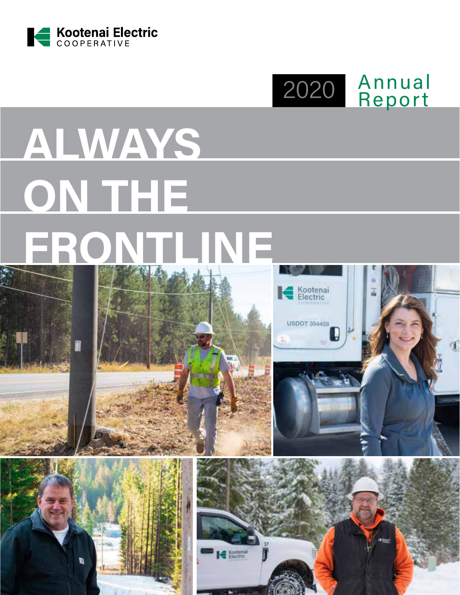

2020 Annual Report

# **ALWAYS ON THE FRONTLINE**







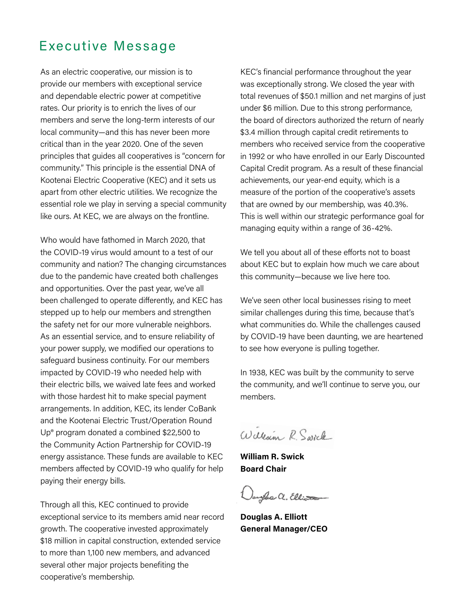### Executive Message

As an electric cooperative, our mission is to provide our members with exceptional service and dependable electric power at competitive rates. Our priority is to enrich the lives of our members and serve the long-term interests of our local community—and this has never been more critical than in the year 2020. One of the seven principles that guides all cooperatives is "concern for community." This principle is the essential DNA of Kootenai Electric Cooperative (KEC) and it sets us apart from other electric utilities. We recognize the essential role we play in serving a special community like ours. At KEC, we are always on the frontline.

Who would have fathomed in March 2020, that the COVID-19 virus would amount to a test of our community and nation? The changing circumstances due to the pandemic have created both challenges and opportunities. Over the past year, we've all been challenged to operate differently, and KEC has stepped up to help our members and strengthen the safety net for our more vulnerable neighbors. As an essential service, and to ensure reliability of your power supply, we modified our operations to safeguard business continuity. For our members impacted by COVID-19 who needed help with their electric bills, we waived late fees and worked with those hardest hit to make special payment arrangements. In addition, KEC, its lender CoBank and the Kootenai Electric Trust/Operation Round Up® program donated a combined \$22,500 to the Community Action Partnership for COVID-19 energy assistance. These funds are available to KEC members affected by COVID-19 who qualify for help paying their energy bills.

Through all this, KEC continued to provide exceptional service to its members amid near record growth. The cooperative invested approximately \$18 million in capital construction, extended service to more than 1,100 new members, and advanced several other major projects benefiting the cooperative's membership.

KEC's financial performance throughout the year was exceptionally strong. We closed the year with total revenues of \$50.1 million and net margins of just under \$6 million. Due to this strong performance, the board of directors authorized the return of nearly \$3.4 million through capital credit retirements to members who received service from the cooperative in 1992 or who have enrolled in our Early Discounted Capital Credit program. As a result of these financial achievements, our year-end equity, which is a measure of the portion of the cooperative's assets that are owned by our membership, was 40.3%. This is well within our strategic performance goal for managing equity within a range of 36-42%.

We tell you about all of these efforts not to boast about KEC but to explain how much we care about this community—because we live here too.

We've seen other local businesses rising to meet similar challenges during this time, because that's what communities do. While the challenges caused by COVID-19 have been daunting, we are heartened to see how everyone is pulling together.

In 1938, KEC was built by the community to serve the community, and we'll continue to serve you, our members.

William R. Swick

**William R. Swick Board Chair**

uyles a. Elliott

**Douglas A. Elliott General Manager/CEO**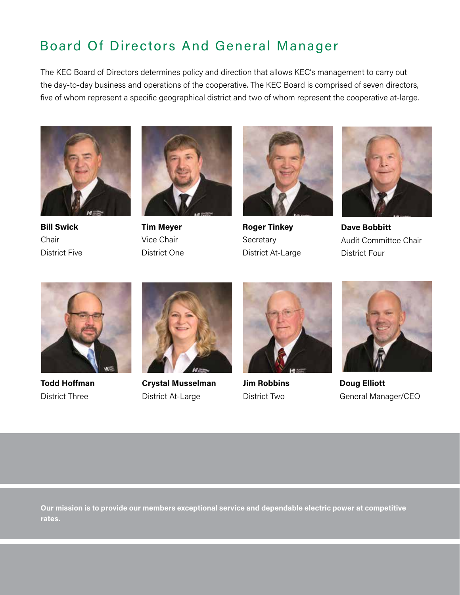# Board Of Directors And General Manager

The KEC Board of Directors determines policy and direction that allows KEC's management to carry out the day-to-day business and operations of the cooperative. The KEC Board is comprised of seven directors, five of whom represent a specific geographical district and two of whom represent the cooperative at-large.



**Bill Swick Chair** District Five



**Tim Meyer** Vice Chair District One



**Roger Tinkey Secretary** District At-Large



**Dave Bobbitt** Audit Committee Chair District Four



**Todd Hoffman** District Three



**Crystal Musselman** District At-Large



**Jim Robbins** District Two



**Doug Elliott** General Manager/CEO

**Our mission is to provide our members exceptional service and dependable electric power at competitive rates.**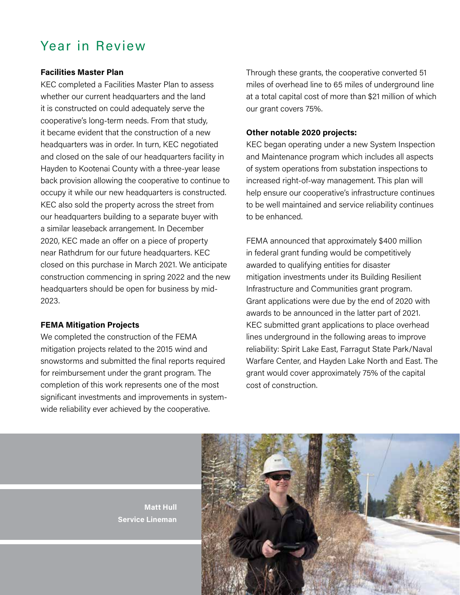## Year in Review

#### **Facilities Master Plan**

KEC completed a Facilities Master Plan to assess whether our current headquarters and the land it is constructed on could adequately serve the cooperative's long-term needs. From that study, it became evident that the construction of a new headquarters was in order. In turn, KEC negotiated and closed on the sale of our headquarters facility in Hayden to Kootenai County with a three-year lease back provision allowing the cooperative to continue to occupy it while our new headquarters is constructed. KEC also sold the property across the street from our headquarters building to a separate buyer with a similar leaseback arrangement. In December 2020, KEC made an offer on a piece of property near Rathdrum for our future headquarters. KEC closed on this purchase in March 2021. We anticipate construction commencing in spring 2022 and the new headquarters should be open for business by mid-2023.

#### **FEMA Mitigation Projects**

We completed the construction of the FEMA mitigation projects related to the 2015 wind and snowstorms and submitted the final reports required for reimbursement under the grant program. The completion of this work represents one of the most significant investments and improvements in systemwide reliability ever achieved by the cooperative.

Through these grants, the cooperative converted 51 miles of overhead line to 65 miles of underground line at a total capital cost of more than \$21 million of which our grant covers 75%.

#### **Other notable 2020 projects:**

KEC began operating under a new System Inspection and Maintenance program which includes all aspects of system operations from substation inspections to increased right-of-way management. This plan will help ensure our cooperative's infrastructure continues to be well maintained and service reliability continues to be enhanced.

FEMA announced that approximately \$400 million in federal grant funding would be competitively awarded to qualifying entities for disaster mitigation investments under its Building Resilient Infrastructure and Communities grant program. Grant applications were due by the end of 2020 with awards to be announced in the latter part of 2021. KEC submitted grant applications to place overhead lines underground in the following areas to improve reliability: Spirit Lake East, Farragut State Park/Naval Warfare Center, and Hayden Lake North and East. The grant would cover approximately 75% of the capital cost of construction.



**Matt Hull Service Lineman**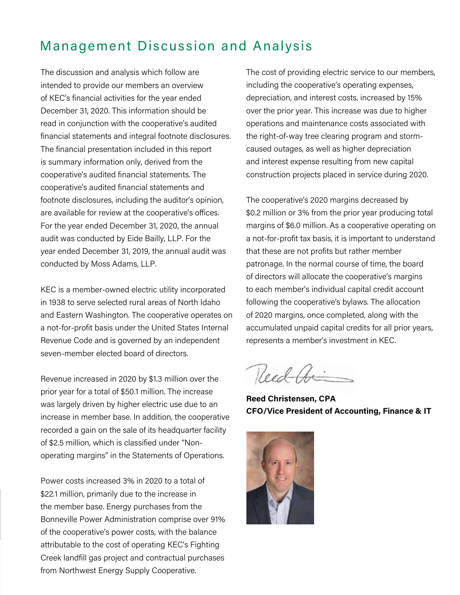## Management Discussion and Analysis

The discussion and analysis which follow are intended to provide our members an overview of KEC's financial activities for the year ended December 31, 2020. This information should be read in conjunction with the cooperative's audited financial statements and integral footnote disclosures. The financial presentation included in this report is summary information only, derived from the cooperative's audited financial statements. The cooperative's audited financial statements and footnote disclosures, including the auditor's opinion, are available for review at the cooperative's offices. For the year ended December 31, 2020, the annual audit was conducted by Eide Bailly, LLP. For the year ended December 31, 2019, the annual audit was conducted by Moss Adams, LLP.

KEC is a member-owned electric utility incorporated in 1938 to serve selected rural areas of North Idaho and Eastern Washington. The cooperative operates on a not-for-profit basis under the United States Internal Revenue Code and is governed by an independent seven-member elected board of directors.

Revenue increased in 2020 by \$1.3 million over the prior year for a total of \$50.1 million. The increase was largely driven by higher electric use due to an increase in member base. In addition, the cooperative recorded a gain on the sale of its headquarter facility of \$2.5 million, which is classified under "Nonoperating margins" in the Statements of Operations.

Power costs increased 3% in 2020 to a total of \$22.1 million, primarily due to the increase in the member base. Energy purchases from the Bonneville Power Administration comprise over 91% of the cooperative's power costs, with the balance attributable to the cost of operating KEC's Fighting Creek landfill gas project and contractual purchases from Northwest Energy Supply Cooperative.

The cost of providing electric service to our members, including the cooperative's operating expenses, depreciation, and interest costs, increased by 15% over the prior year. This increase was due to higher operations and maintenance costs associated with the right-of-way tree clearing program and stormcaused outages, as well as higher depreciation and interest expense resulting from new capital construction projects placed in service during 2020.

The cooperative's 2020 margins decreased by \$0.2 million or 3% from the prior year producing total margins of \$6.0 million. As a cooperative operating on a not-for-profit tax basis, it is important to understand that these are not profits but rather member patronage. In the normal course of time, the board of directors will allocate the cooperative's margins to each member's individual capital credit account following the cooperative's bylaws. The allocation of 2020 margins, once completed, along with the accumulated unpaid capital credits for all prior years, represents a member's investment in KEC.

Reed the

**Reed Christensen, CPA CFO/Vice President of Accounting, Finance & IT**

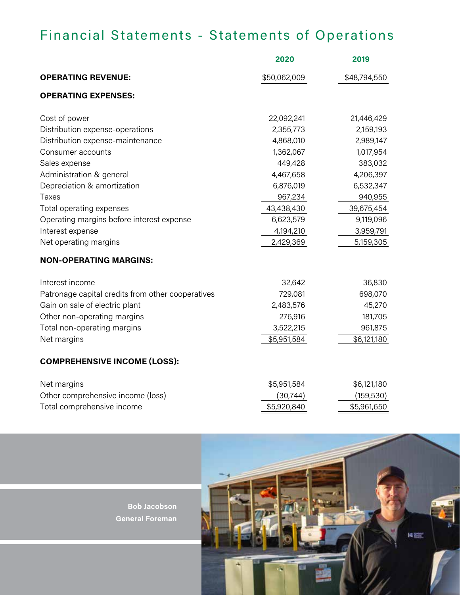# Financial Statements - Statements of Operations

|                                                   | 2020         | 2019         |
|---------------------------------------------------|--------------|--------------|
| <b>OPERATING REVENUE:</b>                         | \$50,062,009 | \$48,794,550 |
| <b>OPERATING EXPENSES:</b>                        |              |              |
| Cost of power                                     | 22,092,241   | 21,446,429   |
| Distribution expense-operations                   | 2,355,773    | 2,159,193    |
| Distribution expense-maintenance                  | 4,868,010    | 2,989,147    |
| Consumer accounts                                 | 1,362,067    | 1,017,954    |
| Sales expense                                     | 449,428      | 383,032      |
| Administration & general                          | 4,467,658    | 4,206,397    |
| Depreciation & amortization                       | 6,876,019    | 6,532,347    |
| Taxes                                             | 967,234      | 940,955      |
| Total operating expenses                          | 43,438,430   | 39,675,454   |
| Operating margins before interest expense         | 6,623,579    | 9,119,096    |
| Interest expense                                  | 4,194,210    | 3,959,791    |
| Net operating margins                             | 2,429,369    | 5,159,305    |
| <b>NON-OPERATING MARGINS:</b>                     |              |              |
| Interest income                                   | 32,642       | 36,830       |
| Patronage capital credits from other cooperatives | 729,081      | 698,070      |
| Gain on sale of electric plant                    | 2,483,576    | 45,270       |
| Other non-operating margins                       | 276,916      | 181,705      |
| Total non-operating margins                       | 3,522,215    | 961,875      |
| Net margins                                       | \$5,951,584  | \$6,121,180  |
| <b>COMPREHENSIVE INCOME (LOSS):</b>               |              |              |
| Net margins                                       | \$5,951,584  | \$6,121,180  |
| Other comprehensive income (loss)                 | (30, 744)    | (159, 530)   |
| Total comprehensive income                        | \$5,920,840  | \$5,961,650  |

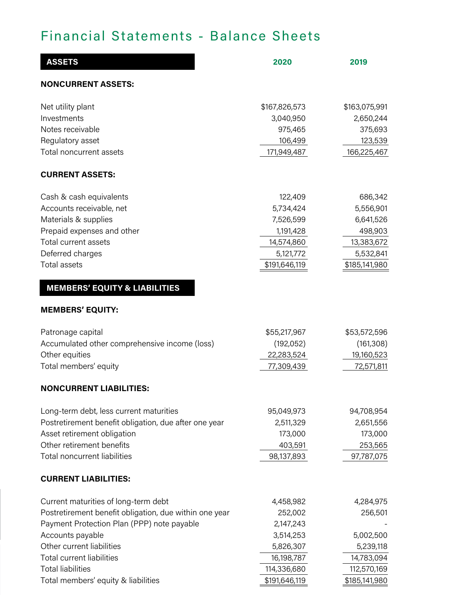## Financial Statements - Balance Sheets

| <b>ASSETS</b>                                          | 2020          | 2019          |
|--------------------------------------------------------|---------------|---------------|
| <b>NONCURRENT ASSETS:</b>                              |               |               |
| Net utility plant                                      | \$167,826,573 | \$163,075,991 |
| Investments                                            | 3,040,950     | 2,650,244     |
| Notes receivable                                       | 975,465       | 375,693       |
| Regulatory asset                                       | 106,499       | 123,539       |
| <b>Total noncurrent assets</b>                         | 171,949,487   | 166,225,467   |
| <b>CURRENT ASSETS:</b>                                 |               |               |
| Cash & cash equivalents                                | 122,409       | 686,342       |
| Accounts receivable, net                               | 5,734,424     | 5,556,901     |
| Materials & supplies                                   | 7,526,599     | 6,641,526     |
| Prepaid expenses and other                             | 1,191,428     | 498,903       |
| Total current assets                                   | 14,574,860    | 13,383,672    |
| Deferred charges                                       | 5,121,772     | 5,532,841     |
| <b>Total assets</b>                                    | \$191,646,119 | \$185,141,980 |
| <b>MEMBERS' EQUITY &amp; LIABILITIES</b>               |               |               |
| <b>MEMBERS' EQUITY:</b>                                |               |               |
| Patronage capital                                      | \$55,217,967  | \$53,572,596  |
| Accumulated other comprehensive income (loss)          | (192, 052)    | (161, 308)    |
| Other equities                                         | 22,283,524    | 19,160,523    |
| Total members' equity                                  | 77,309,439    | 72,571,811    |
| <b>NONCURRENT LIABILITIES:</b>                         |               |               |
| Long-term debt, less current maturities                | 95,049,973    | 94,708,954    |
| Postretirement benefit obligation, due after one year  | 2,511,329     | 2,651,556     |
| Asset retirement obligation                            | 173,000       | 173,000       |
| Other retirement benefits                              | 403,591       | 253,565       |
| <b>Total noncurrent liabilities</b>                    | 98,137,893    | 97,787,075    |
| <b>CURRENT LIABILITIES:</b>                            |               |               |
| Current maturities of long-term debt                   | 4,458,982     | 4,284,975     |
| Postretirement benefit obligation, due within one year | 252,002       | 256,501       |
| Payment Protection Plan (PPP) note payable             | 2,147,243     |               |
| Accounts payable                                       | 3,514,253     | 5,002,500     |
| Other current liabilities                              | 5,826,307     | 5,239,118     |
| <b>Total current liabilities</b>                       | 16,198,787    | 14,783,094    |
| <b>Total liabilities</b>                               | 114,336,680   | 112,570,169   |
| Total members' equity & liabilities                    | \$191,646,119 | \$185,141,980 |